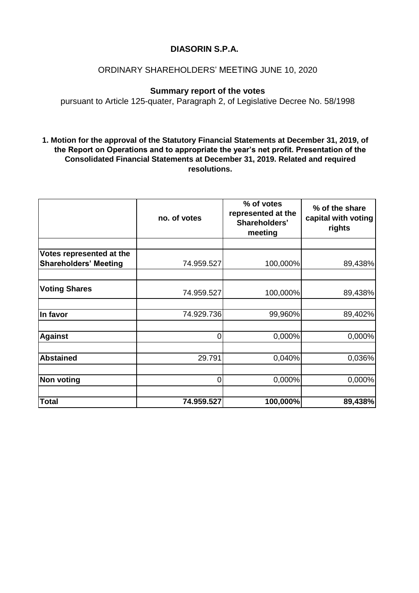# **DIASORIN S.P.A.**

# ORDINARY SHAREHOLDERS' MEETING JUNE 10, 2020

# **Summary report of the votes**

pursuant to Article 125-quater, Paragraph 2, of Legislative Decree No. 58/1998

### **1. Motion for the approval of the Statutory Financial Statements at December 31, 2019, of the Report on Operations and to appropriate the year's net profit. Presentation of the Consolidated Financial Statements at December 31, 2019. Related and required resolutions.**

|                                                          | no. of votes | % of votes<br>represented at the<br>Shareholders'<br>meeting | % of the share<br>capital with voting<br>rights |
|----------------------------------------------------------|--------------|--------------------------------------------------------------|-------------------------------------------------|
|                                                          |              |                                                              |                                                 |
| Votes represented at the<br><b>Shareholders' Meeting</b> | 74.959.527   | 100,000%                                                     | 89,438%                                         |
| <b>Voting Shares</b>                                     | 74.959.527   | 100,000%                                                     | 89,438%                                         |
| In favor                                                 | 74.929.736   | 99,960%                                                      | 89,402%                                         |
| <b>Against</b>                                           | 0            | 0,000%                                                       | 0,000%                                          |
| <b>Abstained</b>                                         | 29.791       | 0,040%                                                       | 0,036%                                          |
| <b>Non voting</b>                                        | 0            | 0,000%                                                       | 0,000%                                          |
| <b>Total</b>                                             | 74.959.527   | 100,000%                                                     | 89,438%                                         |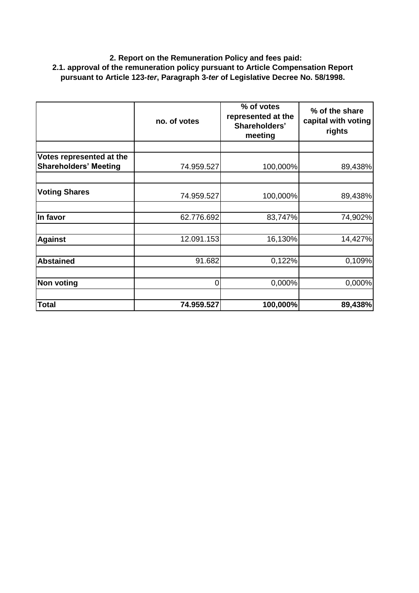## **2. Report on the Remuneration Policy and fees paid: 2.1. approval of the remuneration policy pursuant to Article Compensation Report pursuant to Article 123-***ter***, Paragraph 3-***ter* **of Legislative Decree No. 58/1998.**

|                                                          | no. of votes | % of votes<br>represented at the<br>Shareholders'<br>meeting | % of the share<br>capital with voting<br>rights |
|----------------------------------------------------------|--------------|--------------------------------------------------------------|-------------------------------------------------|
|                                                          |              |                                                              |                                                 |
| Votes represented at the<br><b>Shareholders' Meeting</b> | 74.959.527   | 100,000%                                                     | 89,438%                                         |
| <b>Voting Shares</b>                                     | 74.959.527   | 100,000%                                                     | 89,438%                                         |
| In favor                                                 | 62.776.692   | 83,747%                                                      | 74,902%                                         |
| <b>Against</b>                                           | 12.091.153   | 16,130%                                                      | 14,427%                                         |
| <b>Abstained</b>                                         | 91.682       | 0,122%                                                       | 0,109%                                          |
| <b>Non voting</b>                                        | 0            | 0,000%                                                       | 0,000%                                          |
| <b>Total</b>                                             | 74.959.527   | 100,000%                                                     | 89,438%                                         |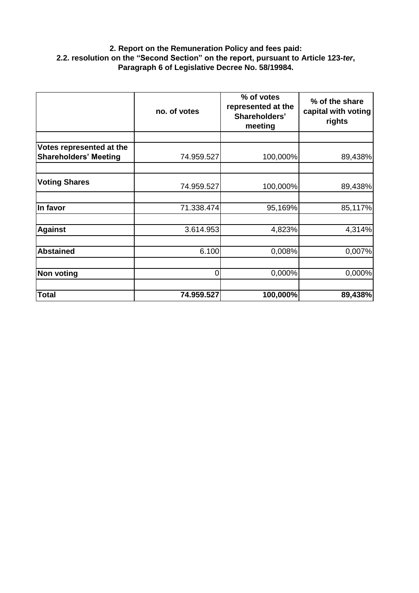### **2. Report on the Remuneration Policy and fees paid: 2.2. resolution on the "Second Section" on the report, pursuant to Article 123-***ter***, Paragraph 6 of Legislative Decree No. 58/19984.**

|                                                          | no. of votes | % of votes<br>represented at the<br>Shareholders'<br>meeting | % of the share<br>capital with voting<br>rights |
|----------------------------------------------------------|--------------|--------------------------------------------------------------|-------------------------------------------------|
|                                                          |              |                                                              |                                                 |
| Votes represented at the<br><b>Shareholders' Meeting</b> | 74.959.527   | 100,000%                                                     | 89,438%                                         |
| <b>Voting Shares</b>                                     | 74.959.527   | 100,000%                                                     | 89,438%                                         |
| In favor                                                 | 71.338.474   | 95,169%                                                      | 85,117%                                         |
| <b>Against</b>                                           | 3.614.953    | 4,823%                                                       | 4,314%                                          |
| <b>Abstained</b>                                         | 6.100        | 0,008%                                                       | 0,007%                                          |
| <b>Non voting</b>                                        | 0            | 0,000%                                                       | 0,000%                                          |
| <b>Total</b>                                             | 74.959.527   | 100,000%                                                     | 89,438%                                         |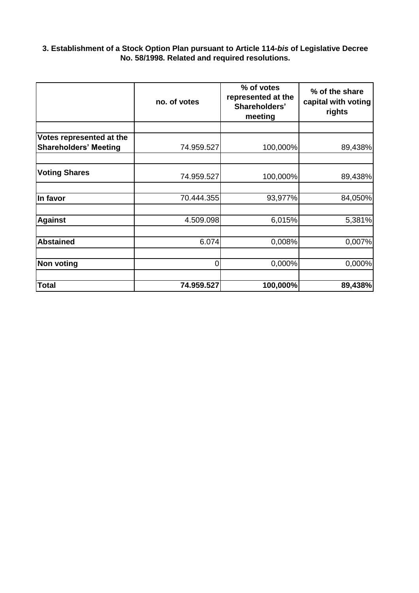#### **3. Establishment of a Stock Option Plan pursuant to Article 114-***bis* **of Legislative Decree No. 58/1998. Related and required resolutions.**

|                                                          | no. of votes | % of votes<br>represented at the<br>Shareholders'<br>meeting | % of the share<br>capital with voting<br>rights |
|----------------------------------------------------------|--------------|--------------------------------------------------------------|-------------------------------------------------|
|                                                          |              |                                                              |                                                 |
| Votes represented at the<br><b>Shareholders' Meeting</b> | 74.959.527   | 100,000%                                                     | 89,438%                                         |
| <b>Voting Shares</b>                                     | 74.959.527   | 100,000%                                                     | 89,438%                                         |
| In favor                                                 | 70.444.355   | 93,977%                                                      | 84,050%                                         |
| <b>Against</b>                                           | 4.509.098    | 6,015%                                                       | 5,381%                                          |
| <b>Abstained</b>                                         | 6.074        | 0,008%                                                       | 0,007%                                          |
| <b>Non voting</b>                                        | 0            | 0,000%                                                       | 0,000%                                          |
| <b>Total</b>                                             | 74.959.527   | 100,000%                                                     | 89,438%                                         |